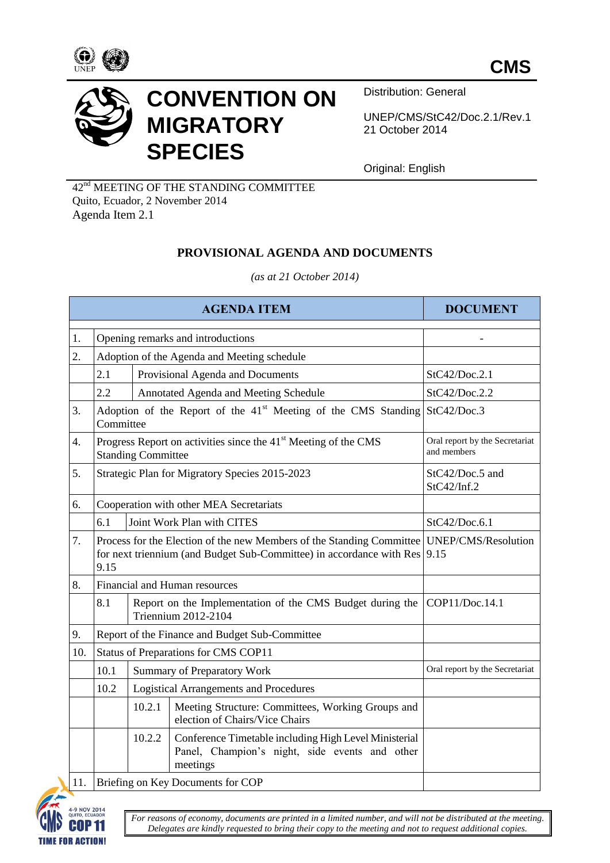



Distribution: General

UNEP/CMS/StC42/Doc.2.1/Rev.1 21 October 2014

Original: English

42nd MEETING OF THE STANDING COMMITTEE Quito, Ecuador, 2 November 2014 Agenda Item 2.1

## **PROVISIONAL AGENDA AND DOCUMENTS**

*(as at 21 October 2014)*

| <b>AGENDA ITEM</b> |                                                       |                                                                                                        |                                                                                                                                                                          | <b>DOCUMENT</b>                               |  |
|--------------------|-------------------------------------------------------|--------------------------------------------------------------------------------------------------------|--------------------------------------------------------------------------------------------------------------------------------------------------------------------------|-----------------------------------------------|--|
| 1.                 |                                                       |                                                                                                        | Opening remarks and introductions                                                                                                                                        |                                               |  |
| 2.                 | Adoption of the Agenda and Meeting schedule           |                                                                                                        |                                                                                                                                                                          |                                               |  |
|                    | 2.1                                                   |                                                                                                        | Provisional Agenda and Documents                                                                                                                                         | StC42/Doc.2.1                                 |  |
|                    | 2.2                                                   |                                                                                                        | Annotated Agenda and Meeting Schedule                                                                                                                                    | StC42/Doc.2.2                                 |  |
| 3.                 |                                                       | Adoption of the Report of the 41 <sup>st</sup> Meeting of the CMS Standing<br>StC42/Doc.3<br>Committee |                                                                                                                                                                          |                                               |  |
| 4.                 |                                                       | <b>Standing Committee</b>                                                                              | Progress Report on activities since the 41 <sup>st</sup> Meeting of the CMS                                                                                              | Oral report by the Secretariat<br>and members |  |
| 5.                 |                                                       | Strategic Plan for Migratory Species 2015-2023                                                         | StC42/Doc.5 and<br>StC42/Inf.2                                                                                                                                           |                                               |  |
| 6.                 |                                                       | Cooperation with other MEA Secretariats                                                                |                                                                                                                                                                          |                                               |  |
|                    | 6.1                                                   |                                                                                                        | Joint Work Plan with CITES                                                                                                                                               | StC42/Doc.6.1                                 |  |
| 7.                 | 9.15                                                  |                                                                                                        | Process for the Election of the new Members of the Standing Committee   UNEP/CMS/Resolution<br>for next triennium (and Budget Sub-Committee) in accordance with Res 9.15 |                                               |  |
| 8.                 |                                                       | Financial and Human resources                                                                          |                                                                                                                                                                          |                                               |  |
|                    | 8.1                                                   |                                                                                                        | Report on the Implementation of the CMS Budget during the<br>Triennium 2012-2104                                                                                         | COP11/Doc.14.1                                |  |
| 9.                 |                                                       | Report of the Finance and Budget Sub-Committee                                                         |                                                                                                                                                                          |                                               |  |
| 10.                | Status of Preparations for CMS COP11                  |                                                                                                        |                                                                                                                                                                          |                                               |  |
|                    | 10.1                                                  |                                                                                                        | <b>Summary of Preparatory Work</b>                                                                                                                                       | Oral report by the Secretariat                |  |
|                    | 10.2<br><b>Logistical Arrangements and Procedures</b> |                                                                                                        |                                                                                                                                                                          |                                               |  |
|                    |                                                       | 10.2.1                                                                                                 | Meeting Structure: Committees, Working Groups and<br>election of Chairs/Vice Chairs                                                                                      |                                               |  |
|                    |                                                       | 10.2.2                                                                                                 | Conference Timetable including High Level Ministerial<br>Panel, Champion's night, side events and other<br>meetings                                                      |                                               |  |
| 11.                | Briefing on Key Documents for COP                     |                                                                                                        |                                                                                                                                                                          |                                               |  |



*For reasons of economy, documents are printed in a limited number, and will not be distributed at the meeting. Delegates are kindly requested to bring their copy to the meeting and not to request additional copies.*